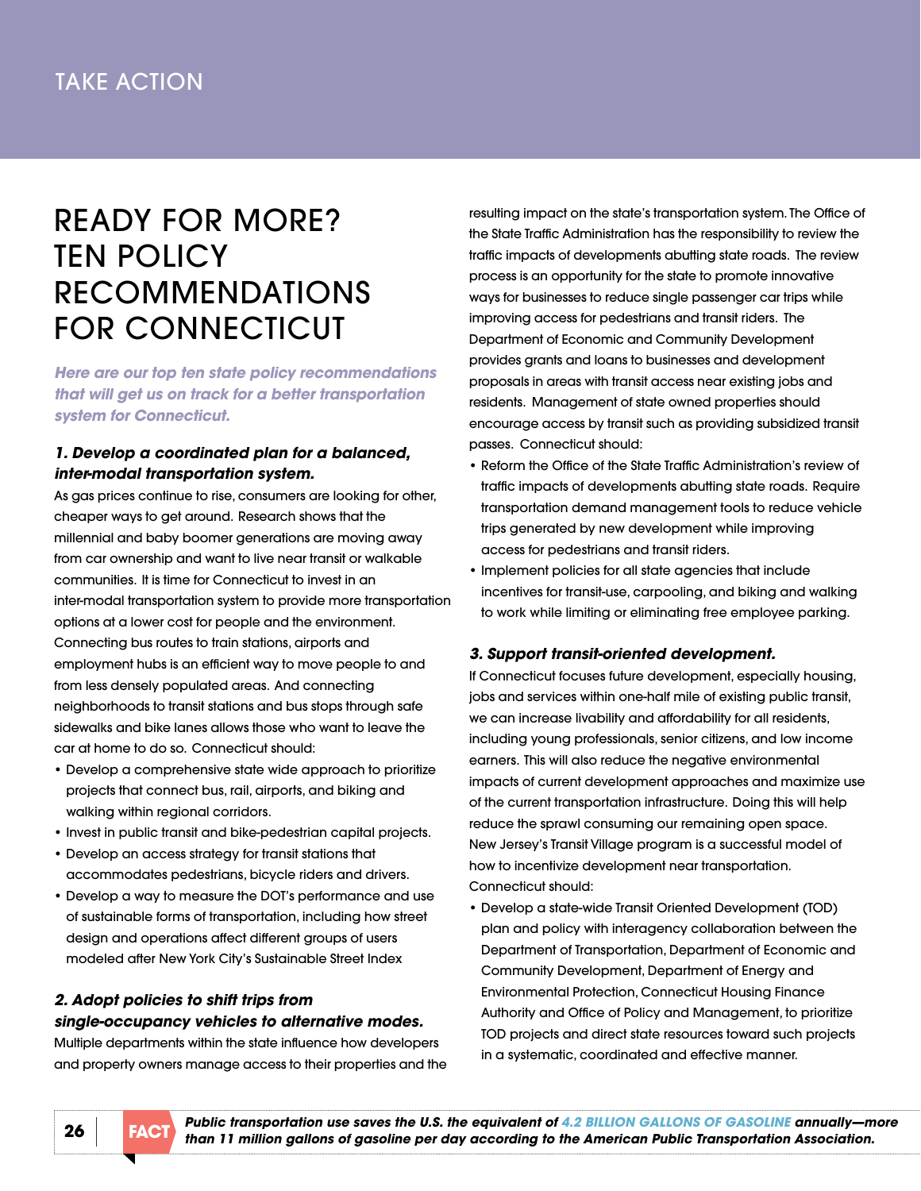# rEady FOr mOrE? **TEN POLICY RECOMMENDATIONS** FOR CONNECTICUT

*Here are our top ten state policy recommendations that will get us on track for a better transportation system for Connecticut.*

# *1. Develop a coordinated plan for a balanced, inter-modal transportation system.*

As gas prices continue to rise, consumers are looking for other, cheaper ways to get around. Research shows that the millennial and baby boomer generations are moving away from car ownership and want to live near transit or walkable communities. it is time for Connecticut to invest in an inter-modal transportation system to provide more transportation options at a lower cost for people and the environment. Connecting bus routes to train stations, airports and employment hubs is an efficient way to move people to and from less densely populated areas. And connecting neighborhoods to transit stations and bus stops through safe sidewalks and bike lanes allows those who want to leave the car at home to do so. Connecticut should:

- Develop a comprehensive state wide approach to prioritize projects that connect bus, rail, airports, and biking and walking within regional corridors.
- Invest in public transit and bike-pedestrian capital projects.
- • Develop an access strategy for transit stations that accommodates pedestrians, bicycle riders and drivers.
- Develop a way to measure the DOT's performance and use of sustainable forms of transportation, including how street design and operations affect different groups of users modeled after [new york City's Sustainable Street index](http://www.nyc.gov/html/dot/html/about/ssi.shtml)

# *2. Adopt policies to shift trips from single-occupancy vehicles to alternative modes.*

multiple departments within the state influence how developers and property owners manage access to their properties and the resulting impact on the state's transportation system. The Office of the State Traffic Administration has the responsibility to review the traffic impacts of developments abutting state roads. The review process is an opportunity for the state to promote innovative ways for businesses to reduce single passenger car trips while improving access for pedestrians and transit riders. The Department of Economic and Community Development provides grants and loans to businesses and development proposals in areas with transit access near existing jobs and residents. management of state owned properties should encourage access by transit such as providing subsidized transit passes. Connecticut should:

- Reform the Office of the State Traffic Administration's review of traffic impacts of developments abutting state roads. Require transportation demand management tools to reduce vehicle trips generated by new development while improving access for pedestrians and transit riders.
- • Implement policies for all state agencies that include incentives for transit-use, carpooling, and biking and walking to work while limiting or eliminating free employee parking.

# *3. Support transit-oriented development.*

if Connecticut focuses future development, especially housing, jobs and services within one-half mile of existing public transit, we can increase livability and affordability for all residents, including young professionals, senior citizens, and low income earners. This will also reduce the negative environmental impacts of current development approaches and maximize use of the current transportation infrastructure. Doing this will help reduce the sprawl consuming our remaining open space. New Jersey's Transit Village program is a successful model of how to incentivize development near transportation. Connecticut should:

• Develop a state-wide Transit Oriented Development (TOD) plan and policy with interagency collaboration between the Department of Transportation, Department of Economic and Community Development, Department of Energy and Environmental Protection, Connecticut Housing Finance Authority and Office of Policy and Management, to prioritize TOd projects and direct state resources toward such projects in a systematic, coordinated and effective manner.

**fACT** *Public transportation use saves the U.S. the equivalent of 4.2 BILLION GALLONS OF GASOLINE annually—more*  $\overline{P}$ *than 11 million gallons of gasoline per day according to the American Public Transportation Association.* **26**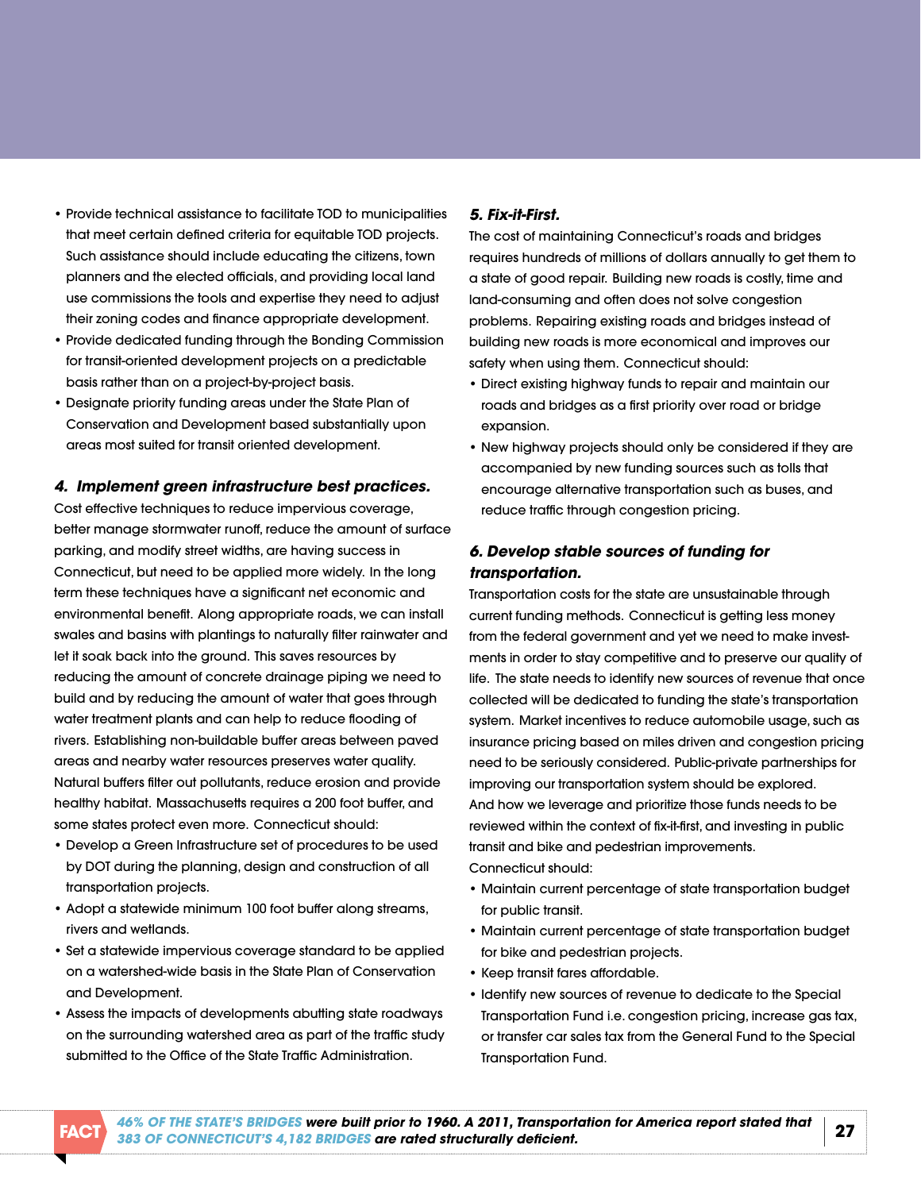- Provide technical assistance to facilitate TOD to municipalities that meet certain defined criteria for equitable TOD projects. Such assistance should include educating the citizens, town planners and the elected officials, and providing local land use commissions the tools and expertise they need to adjust their zoning codes and finance appropriate development.
- Provide dedicated funding through the Bonding Commission for transit-oriented development projects on a predictable basis rather than on a project-by-project basis.
- • Designate priority funding areas under the State Plan of Conservation and development based substantially upon areas most suited for transit oriented development.

#### *4. Implement green infrastructure best practices.*

Cost effective techniques to reduce impervious coverage, better manage stormwater runoff, reduce the amount of surface parking, and modify street widths, are having success in Connecticut, but need to be applied more widely. in the long term these techniques have a significant net economic and environmental benefit. along appropriate roads, we can install swales and basins with plantings to naturally filter rainwater and let it soak back into the ground. This saves resources by reducing the amount of concrete drainage piping we need to build and by reducing the amount of water that goes through water treatment plants and can help to reduce flooding of rivers. Establishing non-buildable buffer areas between paved areas and nearby water resources preserves water quality. natural buffers filter out pollutants, reduce erosion and provide healthy habitat. Massachusetts requires a 200 foot buffer, and some states protect even more. Connecticut should:

- Develop a Green Infrastructure set of procedures to be used by DOT during the planning, design and construction of all transportation projects.
- Adopt a statewide minimum 100 foot buffer along streams, rivers and wetlands.
- Set a statewide impervious coverage standard to be applied on a watershed-wide basis in the State Plan of Conservation and Development.
- Assess the impacts of developments abutting state roadways on the surrounding watershed area as part of the traffic study submitted to the Office of the State Traffic Administration.

# *5. fix-it-first.*

The cost of maintaining Connecticut's roads and bridges requires hundreds of millions of dollars annually to get them to a state of good repair. Building new roads is costly, time and land-consuming and often does not solve congestion problems. Repairing existing roads and bridges instead of building new roads is more economical and improves our safety when using them. Connecticut should:

- • Direct existing highway funds to repair and maintain our roads and bridges as a first priority over road or bridge expansion.
- New highway projects should only be considered if they are accompanied by new funding sources such as tolls that encourage alternative transportation such as buses, and reduce traffic through congestion pricing.

# *6. Develop stable sources of funding for transportation.*

Transportation costs for the state are unsustainable through current funding methods. Connecticut is getting less money from the federal government and yet we need to make investments in order to stay competitive and to preserve our quality of life. The state needs to identify new sources of revenue that once collected will be dedicated to funding the state's transportation system. Market incentives to reduce automobile usage, such as insurance pricing based on miles driven and congestion pricing need to be seriously considered. Public-private partnerships for improving our transportation system should be explored. and how we leverage and prioritize those funds needs to be reviewed within the context of fix-it-first, and investing in public transit and bike and pedestrian improvements.

Connecticut should:

- • Maintain current percentage of state transportation budget for public transit.
- Maintain current percentage of state transportation budget for bike and pedestrian projects.
- Keep transit fares affordable.
- Identify new sources of revenue to dedicate to the Special Transportation Fund i.e. congestion pricing, increase gas tax, or transfer car sales tax from the General Fund to the Special Transportation Fund.

**fact <sup>27</sup>** *[46% Of THE STATE'S BrIDgES were built prior to 1960. A 2011, Transportation for America report stated that](http://t4america.org/resources/bridges/)  383 Of CONNECTICUT'S 4,182 BrIDgES are rated structurally deficient.*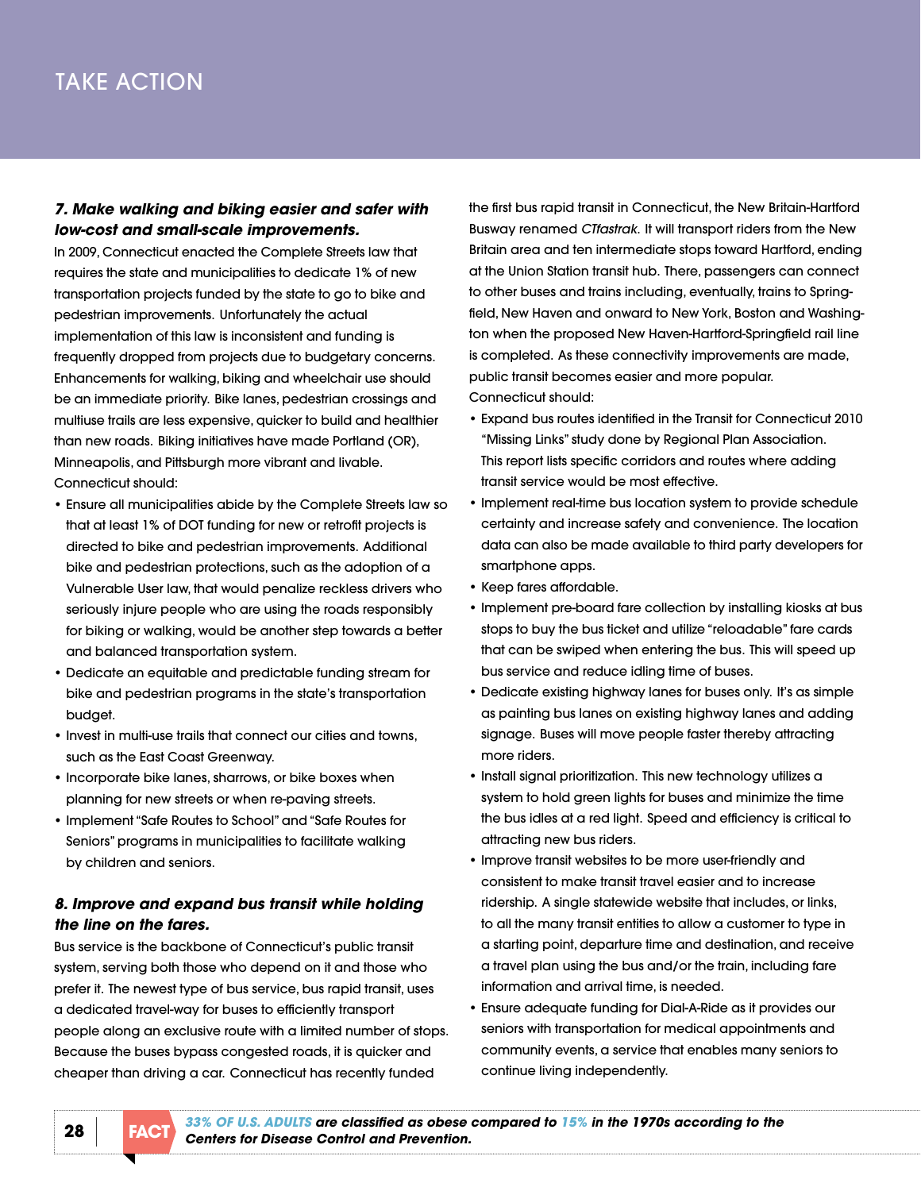# TakE aCTiOn

### *7. Make walking and biking easier and safer with low-cost and small-scale improvements.*

in 2009, Connecticut enacted the [Complete Streets law](http://www.cga.ct.gov/2009/ACT/PA/2009PA-00154-R00SB-00735-PA.htm) that requires the state and municipalities to dedicate 1% of new transportation projects funded by the state to go to bike and pedestrian improvements. unfortunately the actual implementation of this law is inconsistent and funding is frequently dropped from projects due to budgetary concerns. Enhancements for walking, biking and wheelchair use should be an immediate priority. Bike lanes, pedestrian crossings and multiuse trails are less expensive, quicker to build and healthier than new roads. Biking initiatives have made Portland (Or), minneapolis, and Pittsburgh more vibrant and livable. Connecticut should:

- Ensure all municipalities abide by the Complete Streets law so that at least 1% of DOT funding for new or retrofit projects is directed to bike and pedestrian improvements. additional bike and pedestrian protections, such as the adoption of a Vulnerable User law, that would penalize reckless drivers who seriously injure people who are using the roads responsibly for biking or walking, would be another step towards a better and balanced transportation system.
- • Dedicate an equitable and predictable funding stream for bike and pedestrian programs in the state's transportation budget.
- Invest in multi-use trails that connect our cities and towns, such as the East Coast Greenway.
- Incorporate bike lanes, sharrows, or bike boxes when planning for new streets or when re-paving streets.
- • Implement "Safe Routes to School"and"Safe Routes for Seniors" programs in municipalities to facilitate walking by children and seniors.

# *8. Improve and expand bus transit while holding the line on the fares.*

Bus service is the backbone of Connecticut's public transit system, serving both those who depend on it and those who prefer it. The newest type of bus service, bus rapid transit, uses a dedicated travel-way for buses to efficiently transport people along an exclusive route with a limited number of stops. Because the buses bypass congested roads, it is quicker and cheaper than driving a car. Connecticut has recently funded

the first bus rapid transit in Connecticut, the New Britain-Hartford Busway renamed *CTfastrak*. It will transport riders from the New Britain area and ten intermediate stops toward Hartford, ending at the Union Station transit hub. There, passengers can connect to other buses and trains including, eventually, trains to Springfield, New Haven and onward to New York, Boston and Washington when the proposed New Haven-Hartford-Springfield rail line is completed. As these connectivity improvements are made, public transit becomes easier and more popular. Connecticut should:

- Expand bus routes identified in the Transit for Connecticut 2010 "Missing Links" study done by Regional Plan Association. [This report lists specific corridors and routes where adding](http://www.rpa.org/pdf/Missing_Links_CT_Bus_Study.pdf)  transit service would be most effective.
- Implement real-time bus location system to provide schedule certainty and increase safety and convenience. The location data can also be made available to third party developers for smartphone apps.
- • Keep fares affordable.
- Implement pre-board fare collection by installing kiosks at bus stops to buy the bus ticket and utilize "reloadable" fare cards that can be swiped when entering the bus. This will speed up bus service and reduce idling time of buses.
- Dedicate existing highway lanes for buses only. It's as simple as painting bus lanes on existing highway lanes and adding signage. Buses will move people faster thereby attracting more riders.
- Install signal prioritization. This new technology utilizes a system to hold green lights for buses and minimize the time the bus idles at a red light. Speed and efficiency is critical to attracting new bus riders.
- • Improve transit websites to be more user-friendly and consistent to make transit travel easier and to increase ridership. A single statewide website that includes, or links, to all the many transit entities to allow a customer to type in a starting point, departure time and destination, and receive a travel plan using the bus and/or the train, including fare information and arrival time, is needed.
- Ensure adequate funding for Dial-A-Ride as it provides our seniors with transportation for medical appointments and community events, a service that enables many seniors to continue living independently.

**28** *[33% Of U.S. ADULTS are classified as obese compared to 15% in the 1970s according to the](http://www.cdc.gov/obesity/data/adult.html/)*  **Centers for Disease Control and Prevention.**